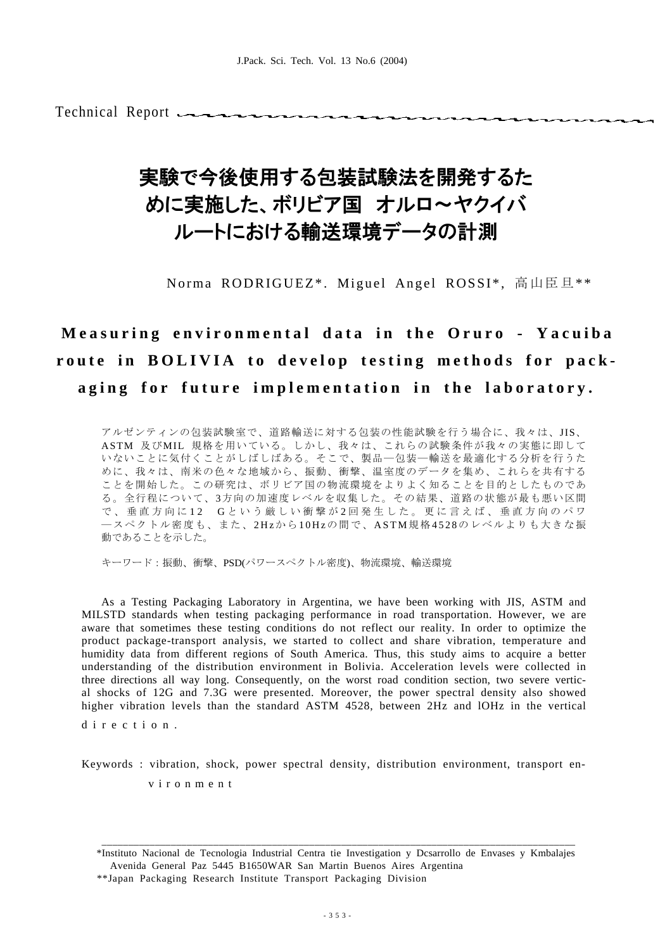Technical Report

# 実験で今後使用する包装試験法を開発するた めに実施した、ボリビア国 オルロ〜ヤクイバ ルートにおける輸送環境データの計測

Norma RODRIGUEZ\*. Miguel Angel ROSSI\*, 高山臣旦\*\*

mmm

## **Measuring environmental data in the Oruro - Yacuiba** route in **BOLIVIA** to develop testing methods for packaging for future implementation in the laboratory.

アルゼンティンの包装試験室で、道路輸送に対する包装の性能試験を行う場合に、我々は、JIS、 ASTM 及びMIL 規格を用いている。しかし、我々は、これらの試験条件が我々の実態に即して いないことに気付くことがしばしばある。そこで、製品―包装―輸送を最適化する分析を行うた めに、我々は、南米の色々な地域から、振動、衝撃、温室度のデータを集め、これらを共有する ことを開始した。この研究は、ボリビア国の物流環境をよりよく知ることを目的としたものであ る。全行程について、3方向の加速度レベルを収集した。その結果、道路の状態が最も悪い区間 で、垂直方向に 1 2 G という厳しい衝撃が 2 回発生した。更に言えば、垂直方向のパワ ―スペクトル密度も、また、2Hzから10Hzの間で、ASTM規格4528のレベルよりも大きな振 動であることを示した。

キーワード:振動、衝撃、PSD(パワースペクトル密度)、物流環境、輸送環境

As a Testing Packaging Laboratory in Argentina, we have been working with JIS, ASTM and MILSTD standards when testing packaging performance in road transportation. However, we are aware that sometimes these testing conditions do not reflect our reality. In order to optimize the product package-transport analysis, we started to collect and share vibration, temperature and humidity data from different regions of South America. Thus, this study aims to acquire a better understanding of the distribution environment in Bolivia. Acceleration levels were collected in three directions all way long. Consequently, on the worst road condition section, two severe vertical shocks of 12G and 7.3G were presented. Moreover, the power spectral density also showed higher vibration levels than the standard ASTM 4528, between 2Hz and lOHz in the vertical

d i r e c t i o n.

Keywords : vibration, shock, power spectral density, distribution environment, transport en-

vironment

\_\_\_\_\_\_\_\_\_\_\_\_\_\_\_\_\_\_\_\_\_\_\_\_\_\_\_\_\_\_\_\_\_\_\_\_\_\_\_\_\_\_\_\_\_\_\_\_\_\_\_\_\_\_\_\_\_\_\_\_\_\_\_\_\_\_\_\_\_\_\_\_\_\_\_\_\_\_\_\_\_\_\_\_\_\_\_\_\_ \*Instituto Nacional de Tecnologia Industrial Centra tie Investigation y Dcsarrollo de Envases y Kmbalajes Avenida General Paz 5445 B1650WAR San Martin Buenos Aires Argentina

<sup>\*\*</sup>Japan Packaging Research Institute Transport Packaging Division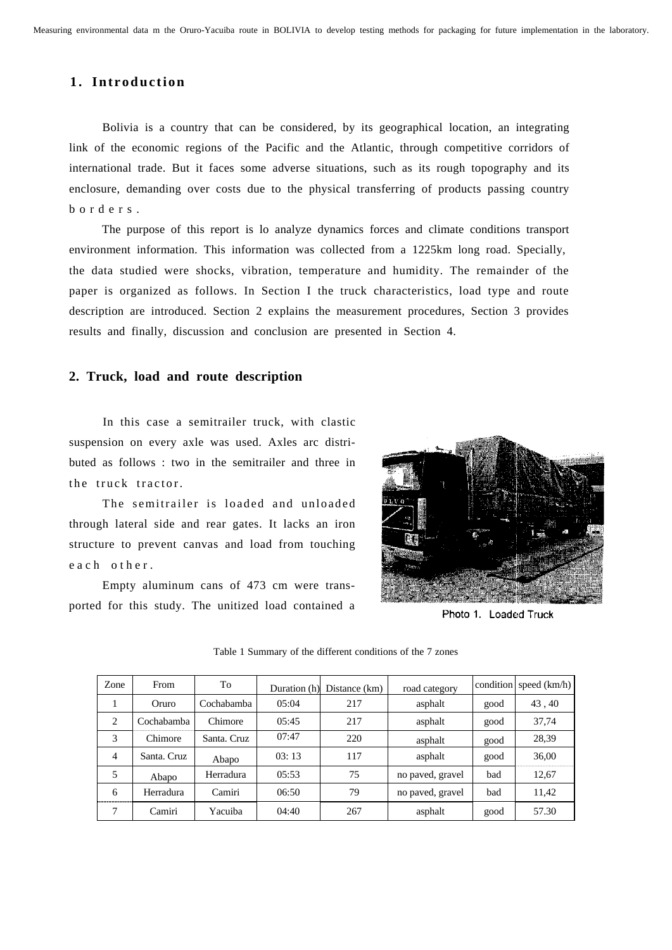## **1. Introduction**

Bolivia is a country that can be considered, by its geographical location, an integrating link of the economic regions of the Pacific and the Atlantic, through competitive corridors of international trade. But it faces some adverse situations, such as its rough topography and its enclosure, demanding over costs due to the physical transferring of products passing country b o r d e r s .

The purpose of this report is lo analyze dynamics forces and climate conditions transport environment information. This information was collected from a 1225km long road. Specially, the data studied were shocks, vibration, temperature and humidity. The remainder of the paper is organized as follows. In Section I the truck characteristics, load type and route description are introduced. Section 2 explains the measurement procedures, Section 3 provides results and finally, discussion and conclusion are presented in Section 4.

#### **2. Truck, load and route description**

In this case a semitrailer truck, with clastic suspension on every axle was used. Axles arc distributed as follows : two in the semitrailer and three in the truck tractor.

The semitrailer is loaded and unloaded through lateral side and rear gates. It lacks an iron structure to prevent canvas and load from touching e a ch o ther.

Empty aluminum cans of 473 cm were transported for this study. The unitized load contained a



Photo 1. Loaded Truck

| Zone           | From        | To          |       | Duration (h) Distance (km) | road category    |      | condition speed (km/h) |
|----------------|-------------|-------------|-------|----------------------------|------------------|------|------------------------|
|                | Oruro       | Cochabamba  | 05:04 | 217                        | asphalt          | good | 43,40                  |
| 2              | Cochabamba  | Chimore     | 05:45 | 217                        | asphalt          | good | 37,74                  |
| 3              | Chimore     | Santa, Cruz | 07:47 | 220                        | asphalt          | good | 28,39                  |
| $\overline{4}$ | Santa, Cruz | Abapo       | 03:13 | 117                        | asphalt          | good | 36,00                  |
| 5              | Abapo       | Herradura   | 05:53 | 75                         | no paved, gravel | bad  | 12,67                  |
| 6<br>          | Herradura   | Camiri      | 06:50 | 79                         | no paved, gravel | bad  | 11,42                  |
|                | Camiri      | Yacuiba     | 04:40 | 267                        | asphalt          | good | 57.30                  |

Table 1 Summary of the different conditions of the 7 zones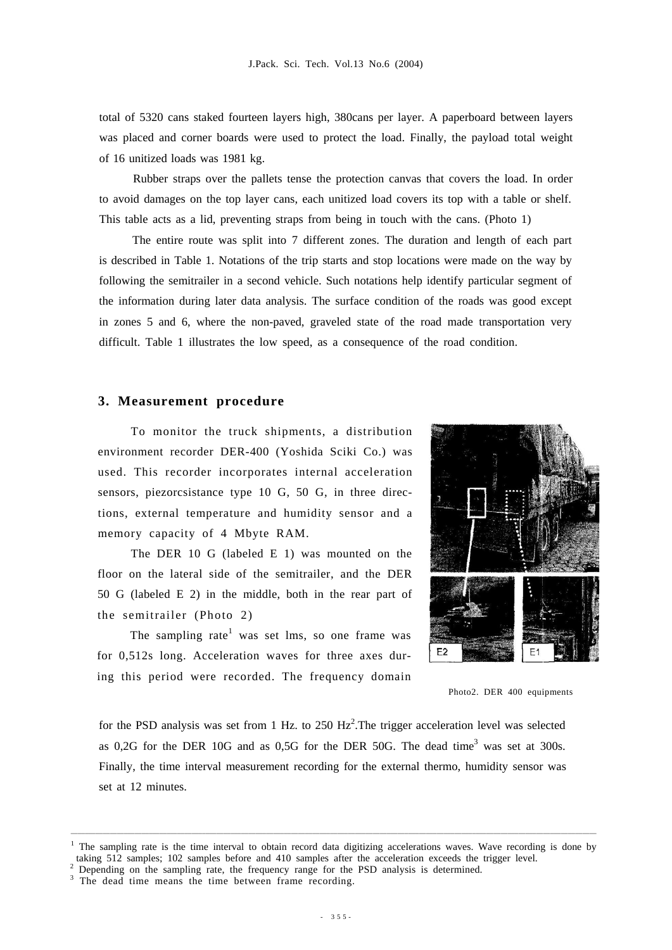total of 5320 cans staked fourteen layers high, 380cans per layer. A paperboard between layers was placed and corner boards were used to protect the load. Finally, the payload total weight of 16 unitized loads was 1981 kg.

Rubber straps over the pallets tense the protection canvas that covers the load. In order to avoid damages on the top layer cans, each unitized load covers its top with a table or shelf. This table acts as a lid, preventing straps from being in touch with the cans. (Photo 1)

The entire route was split into 7 different zones. The duration and length of each part is described in Table 1. Notations of the trip starts and stop locations were made on the way by following the semitrailer in a second vehicle. Such notations help identify particular segment of the information during later data analysis. The surface condition of the roads was good except in zones 5 and 6, where the non-paved, graveled state of the road made transportation very difficult. Table 1 illustrates the low speed, as a consequence of the road condition.

#### **3. Measurement procedure**

To monitor the truck shipments, a distribution environment recorder DER-400 (Yoshida Sciki Co.) was used. This recorder incorporates internal acceleration sensors, piezorcsistance type 10 G, 50 G, in three directions, external temperature and humidity sensor and a memory capacity of 4 Mbyte RAM.

The DER 10 G (labeled E 1) was mounted on the floor on the lateral side of the semitrailer, and the DER 50 G (labeled E 2) in the middle, both in the rear part of the semitrailer (Photo 2)

The sampling rate<sup>1</sup> was set lms, so one frame was for 0,512s long. Acceleration waves for three axes during this period were recorded. The frequency domain



Photo2. DER 400 equipments

for the PSD analysis was set from 1 Hz. to 250  $Hz<sup>2</sup>$ . The trigger acceleration level was selected as 0,2G for the DER 10G and as 0,5G for the DER 50G. The dead time<sup>3</sup> was set at 300s. Finally, the time interval measurement recording for the external thermo, humidity sensor was set at 12 minutes.

\_\_\_\_\_\_\_\_\_\_\_\_\_\_\_\_\_\_\_\_\_\_\_\_\_\_\_\_\_\_\_\_\_\_\_\_\_\_\_\_\_\_\_\_\_\_\_\_\_\_\_\_\_\_\_\_\_\_\_\_\_\_\_\_\_\_\_\_\_\_\_\_\_\_\_\_\_\_\_\_\_\_\_\_\_\_\_\_\_\_\_\_\_\_\_\_\_\_\_\_\_\_\_\_\_\_\_\_\_\_\_\_\_\_\_\_\_\_\_\_\_\_\_\_\_\_\_\_\_\_\_\_\_\_\_\_\_\_\_\_\_\_\_\_\_\_\_\_

<sup>1</sup> The sampling rate is the time interval to obtain record data digitizing accelerations waves. Wave recording is done by taking 512 samples; 102 samples before and 410 samples after the acceleration exceeds the trigger level.

<sup>&</sup>lt;sup>2</sup> Depending on the sampling rate, the frequency range for the PSD analysis is determined.

The dead time means the time between frame recording.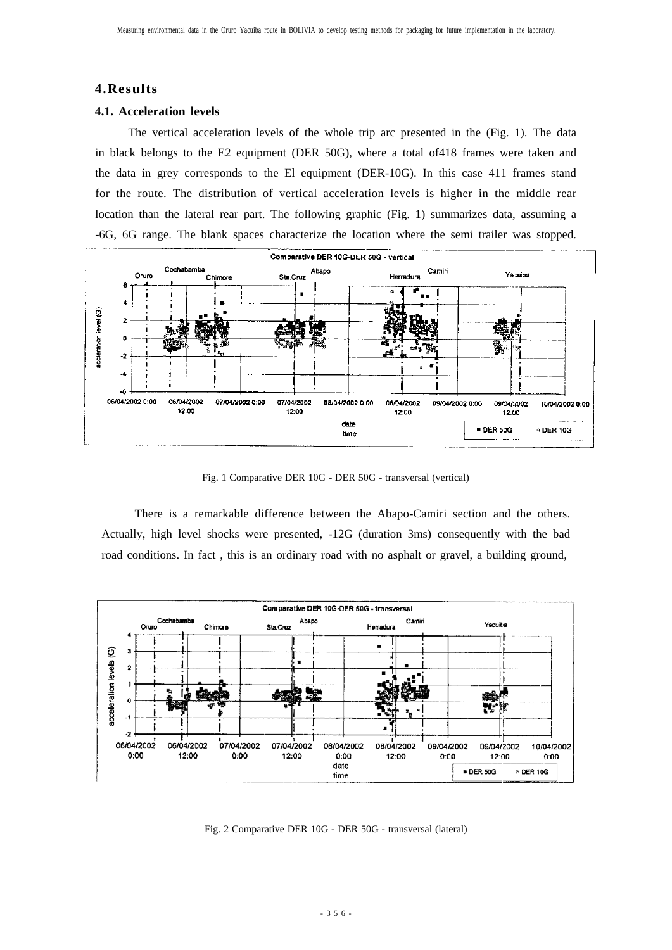#### **4.Results**

#### **4.1. Acceleration levels**

The vertical acceleration levels of the whole trip arc presented in the (Fig. 1). The data in black belongs to the E2 equipment (DER 50G), where a total of418 frames were taken and the data in grey corresponds to the El equipment (DER-10G). In this case 411 frames stand for the route. The distribution of vertical acceleration levels is higher in the middle rear location than the lateral rear part. The following graphic (Fig. 1) summarizes data, assuming a -6G, 6G range. The blank spaces characterize the location where the semi trailer was stopped.



Fig. 1 Comparative DER 10G - DER 50G - transversal (vertical)

There is a remarkable difference between the Abapo-Camiri section and the others. Actually, high level shocks were presented, -12G (duration 3ms) consequently with the bad road conditions. In fact , this is an ordinary road with no asphalt or gravel, a building ground,



Fig. 2 Comparative DER 10G - DER 50G - transversal (lateral)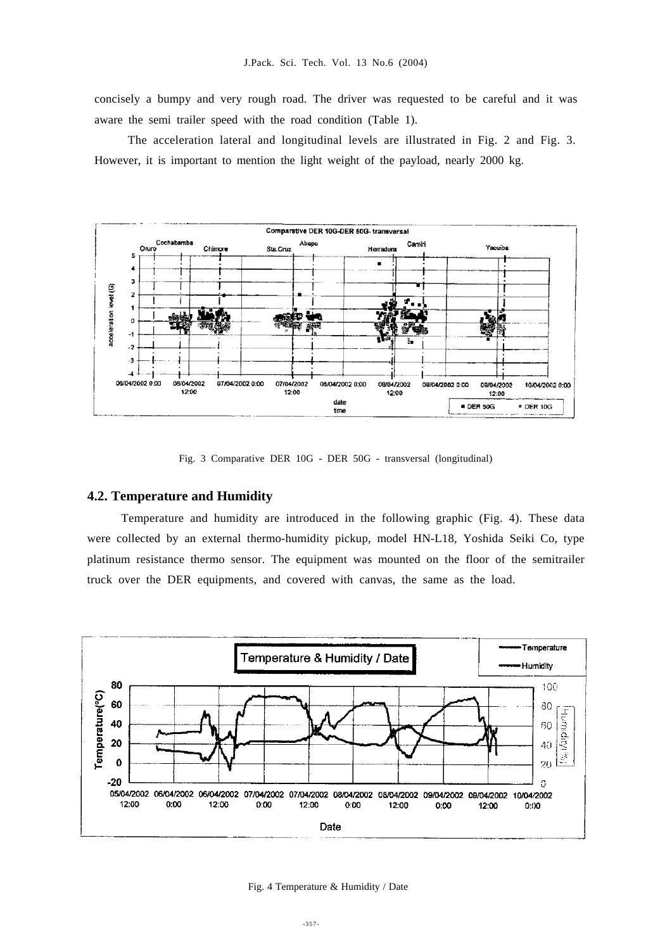concisely a bumpy and very rough road. The driver was requested to be careful and it was aware the semi trailer speed with the road condition (Table 1).

The acceleration lateral and longitudinal levels are illustrated in Fig. 2 and Fig. 3. However, it is important to mention the light weight of the payload, nearly 2000 kg.



Fig. 3 Comparative DER 10G - DER 50G - transversal (longitudinal)

### **4.2. Temperature and Humidity**

Temperature and humidity are introduced in the following graphic (Fig. 4). These data were collected by an external thermo-humidity pickup, model HN-L18, Yoshida Seiki Co, type platinum resistance thermo sensor. The equipment was mounted on the floor of the semitrailer truck over the DER equipments, and covered with canvas, the same as the load.



Fig. 4 Temperature & Humidity / Date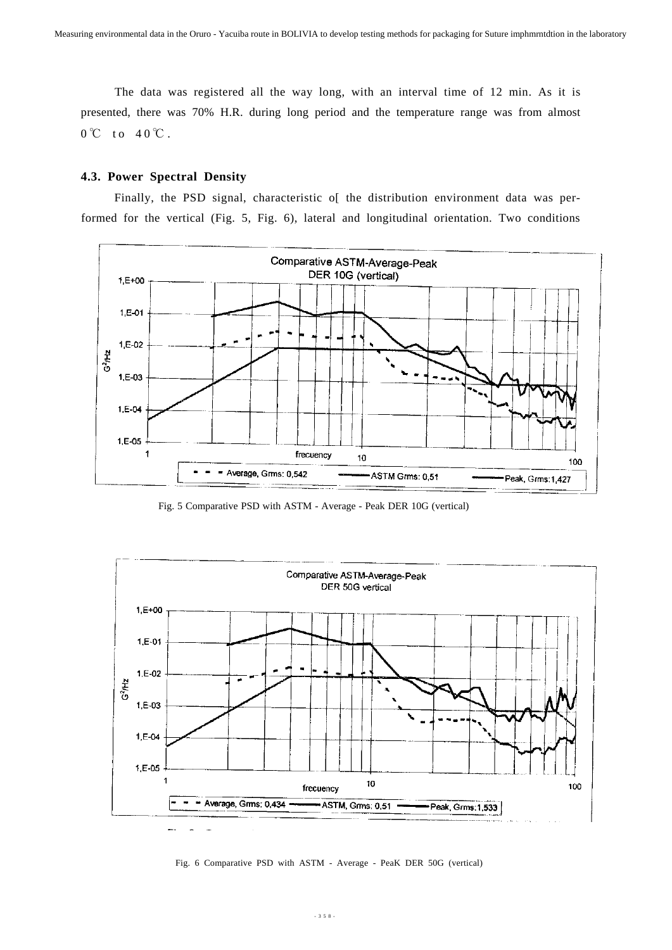The data was registered all the way long, with an interval time of 12 min. As it is presented, there was 70% H.R. during long period and the temperature range was from almost  $0^{\circ}$ C to  $40^{\circ}$ C.

#### **4.3. Power Spectral Density**

Finally, the PSD signal, characteristic of the distribution environment data was performed for the vertical (Fig. 5, Fig. 6), lateral and longitudinal orientation. Two conditions



Fig. 5 Comparative PSD with ASTM - Average - Peak DER 10G (vertical)



Fig. 6 Comparative PSD with ASTM - Average - PeaK DER 50G (vertical)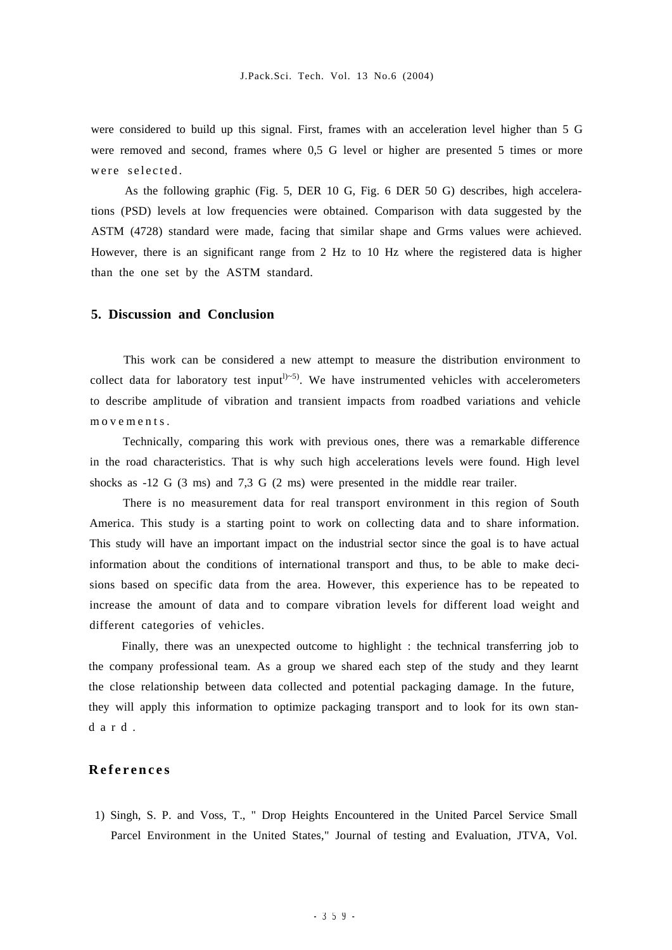were considered to build up this signal. First, frames with an acceleration level higher than 5 G were removed and second, frames where 0,5 G level or higher are presented 5 times or more were selected.

As the following graphic (Fig. 5, DER 10 G, Fig. 6 DER 50 G) describes, high accelerations (PSD) levels at low frequencies were obtained. Comparison with data suggested by the ASTM (4728) standard were made, facing that similar shape and Grms values were achieved. However, there is an significant range from 2 Hz to 10 Hz where the registered data is higher than the one set by the ASTM standard.

## **5. Discussion and Conclusion**

This work can be considered a new attempt to measure the distribution environment to collect data for laboratory test input<sup> $1)$ –5)</sup>. We have instrumented vehicles with accelerometers to describe amplitude of vibration and transient impacts from roadbed variations and vehicle m o v e m e n t s.

Technically, comparing this work with previous ones, there was a remarkable difference in the road characteristics. That is why such high accelerations levels were found. High level shocks as  $-12$  G (3 ms) and 7,3 G (2 ms) were presented in the middle rear trailer.

There is no measurement data for real transport environment in this region of South America. This study is a starting point to work on collecting data and to share information. This study will have an important impact on the industrial sector since the goal is to have actual information about the conditions of international transport and thus, to be able to make decisions based on specific data from the area. However, this experience has to be repeated to increase the amount of data and to compare vibration levels for different load weight and different categories of vehicles.

Finally, there was an unexpected outcome to highlight : the technical transferring job to the company professional team. As a group we shared each step of the study and they learnt the close relationship between data collected and potential packaging damage. In the future, they will apply this information to optimize packaging transport and to look for its own stand a r d .

#### **R e f e r e n c e s**

1) Singh, S. P. and Voss, T., " Drop Heights Encountered in the United Parcel Service Small Parcel Environment in the United States," Journal of testing and Evaluation, JTVA, Vol.